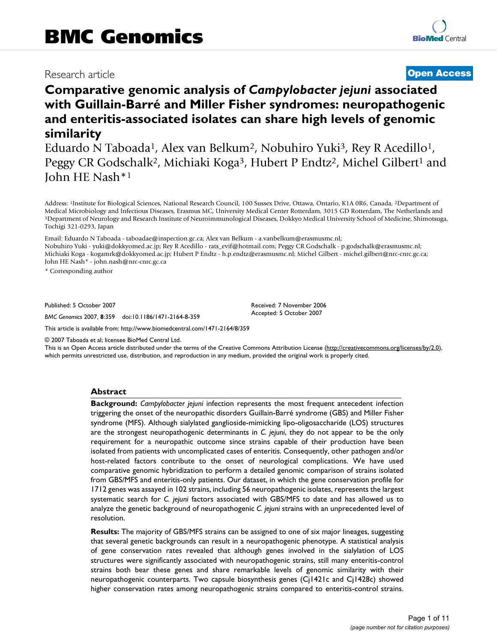# Research article **[Open Access](http://www.biomedcentral.com/info/about/charter/)**

# **Comparative genomic analysis of** *Campylobacter jejuni* **associated with Guillain-Barré and Miller Fisher syndromes: neuropathogenic and enteritis-associated isolates can share high levels of genomic similarity**

Eduardo N Taboada<sup>1</sup>, Alex van Belkum<sup>2</sup>, Nobuhiro Yuki<sup>3</sup>, Rey R Acedillo<sup>1</sup>, Peggy CR Godschalk<sup>2</sup>, Michiaki Koga<sup>3</sup>, Hubert P Endtz<sup>2</sup>, Michel Gilbert<sup>1</sup> and John HE Nash\*1

Address: 1Institute for Biological Sciences, National Research Council, 100 Sussex Drive, Ottawa, Ontario, K1A 0R6, Canada, 2Department of Medical Microbiology and Infectious Diseases, Erasmus MC, University Medical Center Rotterdam, 3015 GD Rotterdam, The Netherlands and<br><sup>3</sup>Department of Neurology and Research Institute of Neuroimmunological Diseases, Dokkyo Tochigi 321-0293, Japan

Email: Eduardo N Taboada - taboadae@inspection.gc.ca; Alex van Belkum - a.vanbelkum@erasmusmc.nl; Nobuhiro Yuki - yuki@dokkyomed.ac.jp; Rey R Acedillo - rats\_evif@hotmail.com; Peggy CR Godschalk - p.godschalk@erasmusmc.nl; Michiaki Koga - kogamrk@dokkyomed.ac.jp; Hubert P Endtz - h.p.endtz@erasmusmc.nl; Michel Gilbert - michel.gilbert@nrc-cnrc.gc.ca; John HE Nash\* - john.nash@nrc-cnrc.gc.ca

\* Corresponding author

Published: 5 October 2007

*BMC Genomics* 2007, **8**:359 doi:10.1186/1471-2164-8-359

[This article is available from: http://www.biomedcentral.com/1471-2164/8/359](http://www.biomedcentral.com/1471-2164/8/359)

© 2007 Taboada et al; licensee BioMed Central Ltd.

This is an Open Access article distributed under the terms of the Creative Commons Attribution License [\(http://creativecommons.org/licenses/by/2.0\)](http://creativecommons.org/licenses/by/2.0), which permits unrestricted use, distribution, and reproduction in any medium, provided the original work is properly cited.

Received: 7 November 2006 Accepted: 5 October 2007

#### **Abstract**

**Background:** *Campylobacter jejuni* infection represents the most frequent antecedent infection triggering the onset of the neuropathic disorders Guillain-Barré syndrome (GBS) and Miller Fisher syndrome (MFS). Although sialylated ganglioside-mimicking lipo-oligosaccharide (LOS) structures are the strongest neuropathogenic determinants in *C. jejuni*, they do not appear to be the only requirement for a neuropathic outcome since strains capable of their production have been isolated from patients with uncomplicated cases of enteritis. Consequently, other pathogen and/or host-related factors contribute to the onset of neurological complications. We have used comparative genomic hybridization to perform a detailed genomic comparison of strains isolated from GBS/MFS and enteritis-only patients. Our dataset, in which the gene conservation profile for 1712 genes was assayed in 102 strains, including 56 neuropathogenic isolates, represents the largest systematic search for *C. jejuni* factors associated with GBS/MFS to date and has allowed us to analyze the genetic background of neuropathogenic *C. jejuni* strains with an unprecedented level of resolution.

**Results:** The majority of GBS/MFS strains can be assigned to one of six major lineages, suggesting that several genetic backgrounds can result in a neuropathogenic phenotype. A statistical analysis of gene conservation rates revealed that although genes involved in the sialylation of LOS structures were significantly associated with neuropathogenic strains, still many enteritis-control strains both bear these genes and share remarkable levels of genomic similarity with their neuropathogenic counterparts. Two capsule biosynthesis genes (Cj1421c and Cj1428c) showed higher conservation rates among neuropathogenic strains compared to enteritis-control strains.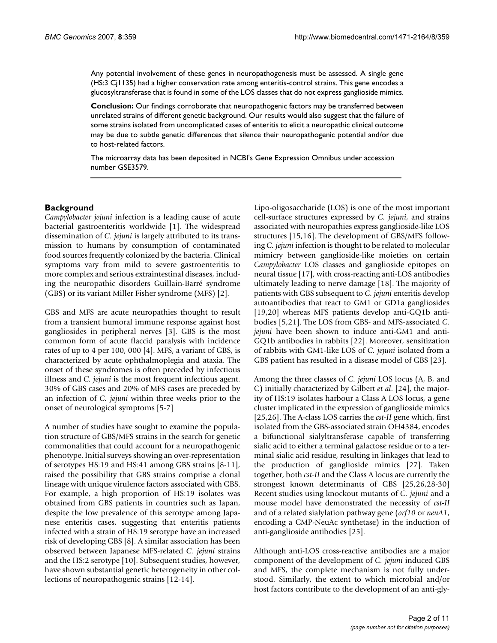Any potential involvement of these genes in neuropathogenesis must be assessed. A single gene (HS:3 Cj1135) had a higher conservation rate among enteritis-control strains. This gene encodes a glucosyltransferase that is found in some of the LOS classes that do not express ganglioside mimics.

**Conclusion:** Our findings corroborate that neuropathogenic factors may be transferred between unrelated strains of different genetic background. Our results would also suggest that the failure of some strains isolated from uncomplicated cases of enteritis to elicit a neuropathic clinical outcome may be due to subtle genetic differences that silence their neuropathogenic potential and/or due to host-related factors.

The microarray data has been deposited in NCBI's Gene Expression Omnibus under accession number GSE3579.

# **Background**

*Campylobacter jejuni* infection is a leading cause of acute bacterial gastroenteritis worldwide [1]. The widespread dissemination of *C. jejuni* is largely attributed to its transmission to humans by consumption of contaminated food sources frequently colonized by the bacteria. Clinical symptoms vary from mild to severe gastroenteritis to more complex and serious extraintestinal diseases, including the neuropathic disorders Guillain-Barré syndrome (GBS) or its variant Miller Fisher syndrome (MFS) [2].

GBS and MFS are acute neuropathies thought to result from a transient humoral immune response against host gangliosides in peripheral nerves [3]. GBS is the most common form of acute flaccid paralysis with incidence rates of up to 4 per 100, 000 [4]. MFS, a variant of GBS, is characterized by acute ophthalmoplegia and ataxia. The onset of these syndromes is often preceded by infectious illness and *C. jejuni* is the most frequent infectious agent. 30% of GBS cases and 20% of MFS cases are preceded by an infection of *C. jejuni* within three weeks prior to the onset of neurological symptoms [5-7]

A number of studies have sought to examine the population structure of GBS/MFS strains in the search for genetic commonalities that could account for a neuropathogenic phenotype. Initial surveys showing an over-representation of serotypes HS:19 and HS:41 among GBS strains [8-11], raised the possibility that GBS strains comprise a clonal lineage with unique virulence factors associated with GBS. For example, a high proportion of HS:19 isolates was obtained from GBS patients in countries such as Japan, despite the low prevalence of this serotype among Japanese enteritis cases, suggesting that enteritis patients infected with a strain of HS:19 serotype have an increased risk of developing GBS [8]. A similar association has been observed between Japanese MFS-related *C. jejuni* strains and the HS:2 serotype [10]. Subsequent studies, however, have shown substantial genetic heterogeneity in other collections of neuropathogenic strains [12-14].

Lipo-oligosaccharide (LOS) is one of the most important cell-surface structures expressed by *C. jejuni*, and strains associated with neuropathies express ganglioside-like LOS structures [15,16]. The development of GBS/MFS following *C. jejuni* infection is thought to be related to molecular mimicry between ganglioside-like moieties on certain *Campylobacter* LOS classes and ganglioside epitopes on neural tissue [17], with cross-reacting anti-LOS antibodies ultimately leading to nerve damage [18]. The majority of patients with GBS subsequent to *C. jejuni* enteritis develop autoantibodies that react to GM1 or GD1a gangliosides [19,20] whereas MFS patients develop anti-GQ1b antibodies [5,21]. The LOS from GBS- and MFS-associated *C. jejuni* have been shown to induce anti-GM1 and anti-GQ1b antibodies in rabbits [22]. Moreover, sensitization of rabbits with GM1-like LOS of *C. jejuni* isolated from a GBS patient has resulted in a disease model of GBS [23].

Among the three classes of *C. jejuni* LOS locus (A, B, and C) initially characterized by Gilbert *et al*. [24], the majority of HS:19 isolates harbour a Class A LOS locus, a gene cluster implicated in the expression of ganglioside mimics [25,26]. The A-class LOS carries the *cst-II* gene which, first isolated from the GBS-associated strain OH4384, encodes a bifunctional sialyltransferase capable of transferring sialic acid to either a terminal galactose residue or to a terminal sialic acid residue, resulting in linkages that lead to the production of ganglioside mimics [27]. Taken together, both *cst-II* and the Class A locus are currently the strongest known determinants of GBS [25,26,28-30] Recent studies using knockout mutants of *C. jejuni* and a mouse model have demonstrated the necessity of *cst-II* and of a related sialylation pathway gene (*orf10* or *neuA1*, encoding a CMP-NeuAc synthetase) in the induction of anti-ganglioside antibodies [25].

Although anti-LOS cross-reactive antibodies are a major component of the development of *C. jejuni* induced GBS and MFS, the complete mechanism is not fully understood. Similarly, the extent to which microbial and/or host factors contribute to the development of an anti-gly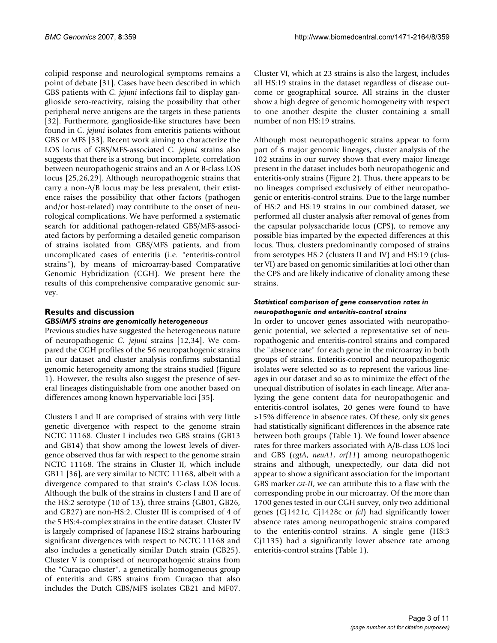colipid response and neurological symptoms remains a point of debate [31]. Cases have been described in which GBS patients with *C. jejuni* infections fail to display ganglioside sero-reactivity, raising the possibility that other peripheral nerve antigens are the targets in these patients [32]. Furthermore, ganglioside-like structures have been found in *C. jejuni* isolates from enteritis patients without GBS or MFS [33]. Recent work aiming to characterize the LOS locus of GBS/MFS-associated *C. jejuni* strains also suggests that there is a strong, but incomplete, correlation between neuropathogenic strains and an A or B-class LOS locus [25,26,29]. Although neuropathogenic strains that carry a non-A/B locus may be less prevalent, their existence raises the possibility that other factors (pathogen and/or host-related) may contribute to the onset of neurological complications. We have performed a systematic search for additional pathogen-related GBS/MFS-associated factors by performing a detailed genetic comparison of strains isolated from GBS/MFS patients, and from uncomplicated cases of enteritis (i.e. "enteritis-control strains"), by means of microarray-based Comparative Genomic Hybridization (CGH). We present here the results of this comprehensive comparative genomic survey.

# **Results and discussion**

#### *GBS/MFS strains are genomically heterogeneous*

Previous studies have suggested the heterogeneous nature of neuropathogenic *C. jejuni* strains [12,34]. We compared the CGH profiles of the 56 neuropathogenic strains in our dataset and cluster analysis confirms substantial genomic heterogeneity among the strains studied (Figure 1). However, the results also suggest the presence of several lineages distinguishable from one another based on differences among known hypervariable loci [35].

Clusters I and II are comprised of strains with very little genetic divergence with respect to the genome strain NCTC 11168. Cluster I includes two GBS strains (GB13 and GB14) that show among the lowest levels of divergence observed thus far with respect to the genome strain NCTC 11168. The strains in Cluster II, which include GB11 [36], are very similar to NCTC 11168, albeit with a divergence compared to that strain's C-class LOS locus. Although the bulk of the strains in clusters I and II are of the HS:2 serotype (10 of 13), three strains (GB01, GB26, and GB27) are non-HS:2. Cluster III is comprised of 4 of the 5 HS:4-complex strains in the entire dataset. Cluster IV is largely comprised of Japanese HS:2 strains harbouring significant divergences with respect to NCTC 11168 and also includes a genetically similar Dutch strain (GB25). Cluster V is comprised of neuropathogenic strains from the "Curaçao cluster", a genetically homogeneous group of enteritis and GBS strains from Curaçao that also includes the Dutch GBS/MFS isolates GB21 and MF07.

Cluster VI, which at 23 strains is also the largest, includes all HS:19 strains in the dataset regardless of disease outcome or geographical source. All strains in the cluster show a high degree of genomic homogeneity with respect to one another despite the cluster containing a small number of non HS:19 strains.

Although most neuropathogenic strains appear to form part of 6 major genomic lineages, cluster analysis of the 102 strains in our survey shows that every major lineage present in the dataset includes both neuropathogenic and enteritis-only strains (Figure 2). Thus, there appears to be no lineages comprised exclusively of either neuropathogenic or enteritis-control strains. Due to the large number of HS:2 and HS:19 strains in our combined dataset, we performed all cluster analysis after removal of genes from the capsular polysaccharide locus (CPS), to remove any possible bias imparted by the expected differences at this locus. Thus, clusters predominantly composed of strains from serotypes HS:2 (clusters II and IV) and HS:19 (cluster VI) are based on genomic similarities at loci other than the CPS and are likely indicative of clonality among these strains.

# *Statistical comparison of gene conservation rates in neuropathogenic and enteritis-control strains*

In order to uncover genes associated with neuropathogenic potential, we selected a representative set of neuropathogenic and enteritis-control strains and compared the "absence rate" for each gene in the microarray in both groups of strains. Enteritis-control and neuropathogenic isolates were selected so as to represent the various lineages in our dataset and so as to minimize the effect of the unequal distribution of isolates in each lineage. After analyzing the gene content data for neuropathogenic and enteritis-control isolates, 20 genes were found to have >15% difference in absence rates. Of these, only six genes had statistically significant differences in the absence rate between both groups (Table 1). We found lower absence rates for three markers associated with A/B-class LOS loci and GBS (*cgtA*, *neuA1*, *orf11*) among neuropathogenic strains and although, unexpectedly, our data did not appear to show a significant association for the important GBS marker *cst-II*, we can attribute this to a flaw with the corresponding probe in our microarray. Of the more than 1700 genes tested in our CGH survey, only two additional genes (Cj1421c, Cj1428c or *fcl*) had significantly lower absence rates among neuropathogenic strains compared to the enteritis-control strains. A single gene (HS:3 Cj1135) had a significantly lower absence rate among enteritis-control strains (Table 1).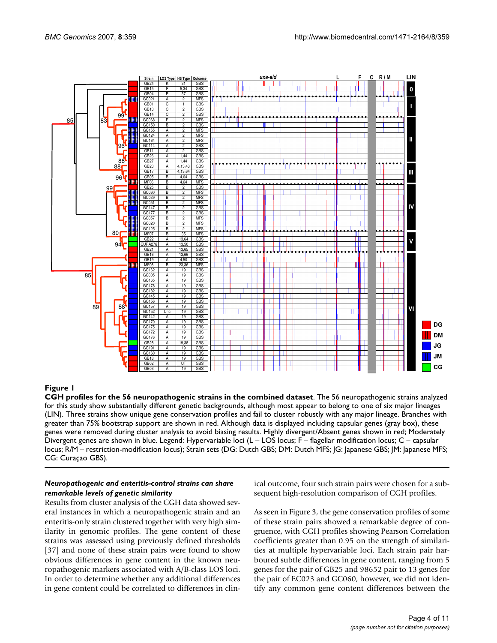

#### Figure 1

**CGH profiles for the 56 neuropathogenic strains in the combined dataset**. The 56 neuropathogenic strains analyzed for this study show substantially different genetic backgrounds, although most appear to belong to one of six major lineages (LIN). Three strains show unique gene conservation profiles and fail to cluster robustly with any major lineage. Branches with greater than 75% bootstrap support are shown in red. Although data is displayed including capsular genes (gray box), these genes were removed during cluster analysis to avoid biasing results. Highly divergent/Absent genes shown in red; Moderately Divergent genes are shown in blue. Legend: Hypervariable loci (L – LOS locus; F – flagellar modification locus; C – capsular locus; R/M – restriction-modification locus); Strain sets (DG: Dutch GBS; DM: Dutch MFS; JG: Japanese GBS; JM: Japanese MFS; CG: Curaçao GBS).

# *Neuropathogenic and enteritis-control strains can share remarkable levels of genetic similarity*

Results from cluster analysis of the CGH data showed several instances in which a neuropathogenic strain and an enteritis-only strain clustered together with very high similarity in genomic profiles. The gene content of these strains was assessed using previously defined thresholds [37] and none of these strain pairs were found to show obvious differences in gene content in the known neuropathogenic markers associated with A/B-class LOS loci. In order to determine whether any additional differences in gene content could be correlated to differences in clinical outcome, four such strain pairs were chosen for a subsequent high-resolution comparison of CGH profiles.

As seen in Figure 3, the gene conservation profiles of some of these strain pairs showed a remarkable degree of congruence, with CGH profiles showing Pearson Correlation coefficients greater than 0.95 on the strength of similarities at multiple hypervariable loci. Each strain pair harboured subtle differences in gene content, ranging from 5 genes for the pair of GB25 and 98652 pair to 13 genes for the pair of EC023 and GC060, however, we did not identify any common gene content differences between the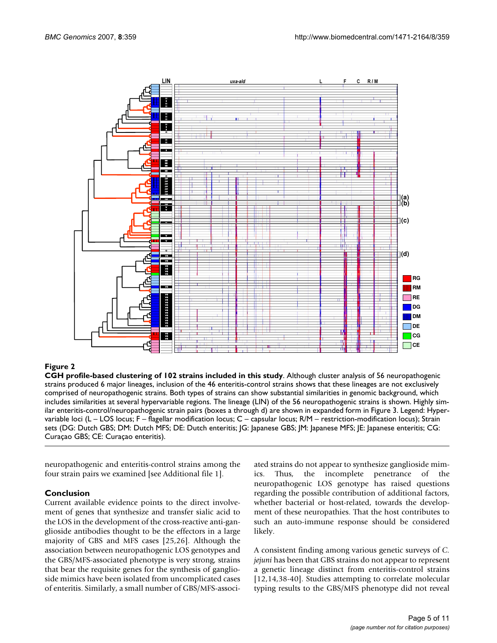

# Figure 2

**CGH profile-based clustering of 102 strains included in this study**. Although cluster analysis of 56 neuropathogenic strains produced 6 major lineages, inclusion of the 46 enteritis-control strains shows that these lineages are not exclusively comprised of neuropathogenic strains. Both types of strains can show substantial similarities in genomic background, which includes similarities at several hypervariable regions. The lineage (LIN) of the 56 neuropathogenic strains is shown. Highly similar enteritis-control/neuropathogenic strain pairs (boxes a through d) are shown in expanded form in Figure 3. Legend: Hypervariable loci (L – LOS locus; F – flagellar modification locus; C – capsular locus; R/M – restriction-modification locus); Strain sets (DG: Dutch GBS; DM: Dutch MFS; DE: Dutch enteritis; JG: Japanese GBS; JM: Japanese MFS; JE: Japanese enteritis; CG: Curaçao GBS; CE: Curaçao enteritis).

neuropathogenic and enteritis-control strains among the four strain pairs we examined [see Additional file 1].

# **Conclusion**

Current available evidence points to the direct involvement of genes that synthesize and transfer sialic acid to the LOS in the development of the cross-reactive anti-ganglioside antibodies thought to be the effectors in a large majority of GBS and MFS cases [25,26]. Although the association between neuropathogenic LOS genotypes and the GBS/MFS-associated phenotype is very strong, strains that bear the requisite genes for the synthesis of ganglioside mimics have been isolated from uncomplicated cases of enteritis. Similarly, a small number of GBS/MFS-associated strains do not appear to synthesize ganglioside mimics. Thus, the incomplete penetrance of the neuropathogenic LOS genotype has raised questions regarding the possible contribution of additional factors, whether bacterial or host-related, towards the development of these neuropathies. That the host contributes to such an auto-immune response should be considered likely.

A consistent finding among various genetic surveys of *C. jejuni* has been that GBS strains do not appear to represent a genetic lineage distinct from enteritis-control strains [12,14,38-40]. Studies attempting to correlate molecular typing results to the GBS/MFS phenotype did not reveal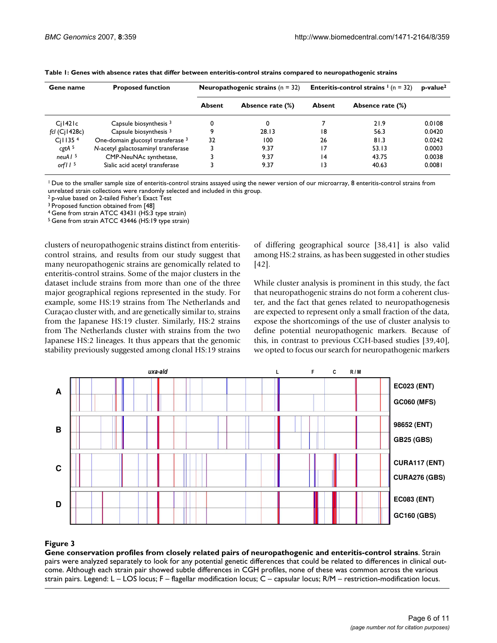| Gene name            | <b>Proposed function</b>            | Neuropathogenic strains $(n = 32)$ |                  |        | <b>Enteritis-control strains</b> $(n = 32)$ | $p-value2$ |
|----------------------|-------------------------------------|------------------------------------|------------------|--------|---------------------------------------------|------------|
|                      |                                     | Absent                             | Absence rate (%) | Absent | Absence rate (%)                            |            |
| C <sub>i</sub> 1421c | Capsule biosynthesis 3              | 0                                  | 0                |        | 21.9                                        | 0.0108     |
| $fcl$ (Cj1428c)      | Capsule biosynthesis <sup>3</sup>   | 9                                  | 28.13            | 18     | 56.3                                        | 0.0420     |
| $Ci$   135 4         | One-domain glucosyl transferase 3   | 32                                 | 100              | 26     | 81.3                                        | 0.0242     |
| $cgtA$ <sup>5</sup>  | N-acetyl galactosaminyl transferase | 3                                  | 9.37             | 17     | 53.13                                       | 0.0003     |
| neuA $15$            | CMP-NeuNAc synthetase,              |                                    | 9.37             | 14     | 43.75                                       | 0.0038     |
| orf $115$            | Sialic acid acetyl transferase      |                                    | 9.37             | 13     | 40.63                                       | 0.0081     |

**Table 1: Genes with absence rates that differ between enteritis-control strains compared to neuropathogenic strains**

<sup>1</sup> Due to the smaller sample size of enteritis-control strains assayed using the newer version of our microarray, 8 enteritis-control strains from unrelated strain collections were randomly selected and included in this group.

2 p-value based on 2-tailed Fisher's Exact Test

3 Proposed function obtained from [48]

4 Gene from strain ATCC 43431 (HS:3 type strain)

<sup>5</sup> Gene from strain ATCC 43446 (HS:19 type strain)

clusters of neuropathogenic strains distinct from enteritiscontrol strains, and results from our study suggest that many neuropathogenic strains are genomically related to enteritis-control strains. Some of the major clusters in the dataset include strains from more than one of the three major geographical regions represented in the study. For example, some HS:19 strains from The Netherlands and Curaçao cluster with, and are genetically similar to, strains from the Japanese HS:19 cluster. Similarly, HS:2 strains from The Netherlands cluster with strains from the two Japanese HS:2 lineages. It thus appears that the genomic stability previously suggested among clonal HS:19 strains of differing geographical source [38,41] is also valid among HS:2 strains, as has been suggested in other studies [42].

While cluster analysis is prominent in this study, the fact that neuropathogenic strains do not form a coherent cluster, and the fact that genes related to neuropathogenesis are expected to represent only a small fraction of the data, expose the shortcomings of the use of cluster analysis to define potential neuropathogenic markers. Because of this, in contrast to previous CGH-based studies [39,40], we opted to focus our search for neuropathogenic markers



# Gene conservation profiles from **Figure 3** closely related pairs of neuropathogenic and enteritis-control strains

**Gene conservation profiles from closely related pairs of neuropathogenic and enteritis-control strains**. Strain pairs were analyzed separately to look for any potential genetic differences that could be related to differences in clinical outcome. Although each strain pair showed subtle differences in CGH profiles, none of these was common across the various strain pairs. Legend: L – LOS locus; F – flagellar modification locus; C – capsular locus; R/M – restriction-modification locus.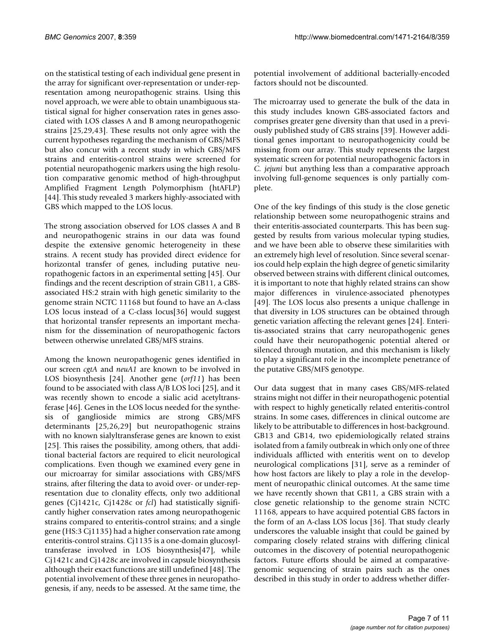on the statistical testing of each individual gene present in the array for significant over-representation or under-representation among neuropathogenic strains. Using this novel approach, we were able to obtain unambiguous statistical signal for higher conservation rates in genes associated with LOS classes A and B among neuropathogenic strains [25,29,43]. These results not only agree with the current hypotheses regarding the mechanism of GBS/MFS but also concur with a recent study in which GBS/MFS strains and enteritis-control strains were screened for potential neuropathogenic markers using the high resolution comparative genomic method of high-throughput Amplified Fragment Length Polymorphism (htAFLP) [44]. This study revealed 3 markers highly-associated with GBS which mapped to the LOS locus.

The strong association observed for LOS classes A and B and neuropathogenic strains in our data was found despite the extensive genomic heterogeneity in these strains. A recent study has provided direct evidence for horizontal transfer of genes, including putative neuropathogenic factors in an experimental setting [45]. Our findings and the recent description of strain GB11, a GBSassociated HS:2 strain with high genetic similarity to the genome strain NCTC 11168 but found to have an A-class LOS locus instead of a C-class locus[36] would suggest that horizontal transfer represents an important mechanism for the dissemination of neuropathogenic factors between otherwise unrelated GBS/MFS strains.

Among the known neuropathogenic genes identified in our screen *cgtA* and *neuA1* are known to be involved in LOS biosynthesis [24]. Another gene (*orf11*) has been found to be associated with class A/B LOS loci [25], and it was recently shown to encode a sialic acid acetyltransferase [46]. Genes in the LOS locus needed for the synthesis of ganglioside mimics are strong GBS/MFS determinants [25,26,29] but neuropathogenic strains with no known sialyltransferase genes are known to exist [25]. This raises the possibility, among others, that additional bacterial factors are required to elicit neurological complications. Even though we examined every gene in our microarray for similar associations with GBS/MFS strains, after filtering the data to avoid over- or under-representation due to clonality effects, only two additional genes (Cj1421c, Cj1428c or *fcl*) had statistically significantly higher conservation rates among neuropathogenic strains compared to enteritis-control strains; and a single gene (HS:3 Cj1135) had a higher conservation rate among enteritis-control strains. Cj1135 is a one-domain glucosyltransferase involved in LOS biosynthesis[47], while Cj1421c and Cj1428c are involved in capsule biosynthesis although their exact functions are still undefined [48]. The potential involvement of these three genes in neuropathogenesis, if any, needs to be assessed. At the same time, the potential involvement of additional bacterially-encoded factors should not be discounted.

The microarray used to generate the bulk of the data in this study includes known GBS-associated factors and comprises greater gene diversity than that used in a previously published study of GBS strains [39]. However additional genes important to neuropathogenicity could be missing from our array. This study represents the largest systematic screen for potential neuropathogenic factors in *C. jejuni* but anything less than a comparative approach involving full-genome sequences is only partially complete.

One of the key findings of this study is the close genetic relationship between some neuropathogenic strains and their enteritis-associated counterparts. This has been suggested by results from various molecular typing studies, and we have been able to observe these similarities with an extremely high level of resolution. Since several scenarios could help explain the high degree of genetic similarity observed between strains with different clinical outcomes, it is important to note that highly related strains can show major differences in virulence-associated phenotypes [49]. The LOS locus also presents a unique challenge in that diversity in LOS structures can be obtained through genetic variation affecting the relevant genes [24]. Enteritis-associated strains that carry neuropathogenic genes could have their neuropathogenic potential altered or silenced through mutation, and this mechanism is likely to play a significant role in the incomplete penetrance of the putative GBS/MFS genotype.

Our data suggest that in many cases GBS/MFS-related strains might not differ in their neuropathogenic potential with respect to highly genetically related enteritis-control strains. In some cases, differences in clinical outcome are likely to be attributable to differences in host-background. GB13 and GB14, two epidemiologically related strains isolated from a family outbreak in which only one of three individuals afflicted with enteritis went on to develop neurological complications [31], serve as a reminder of how host factors are likely to play a role in the development of neuropathic clinical outcomes. At the same time we have recently shown that GB11, a GBS strain with a close genetic relationship to the genome strain NCTC 11168, appears to have acquired potential GBS factors in the form of an A-class LOS locus [36]. That study clearly underscores the valuable insight that could be gained by comparing closely related strains with differing clinical outcomes in the discovery of potential neuropathogenic factors. Future efforts should be aimed at comparativegenomic sequencing of strain pairs such as the ones described in this study in order to address whether differ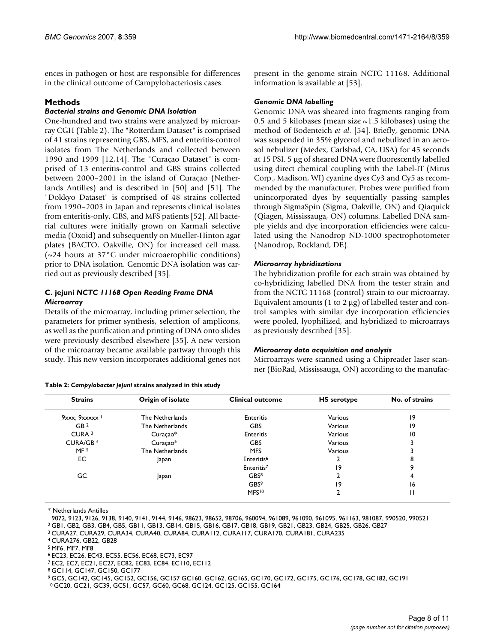ences in pathogen or host are responsible for differences in the clinical outcome of Campylobacteriosis cases.

# **Methods**

# *Bacterial strains and Genomic DNA Isolation*

One-hundred and two strains were analyzed by microarray CGH (Table 2). The "Rotterdam Dataset" is comprised of 41 strains representing GBS, MFS, and enteritis-control isolates from The Netherlands and collected between 1990 and 1999 [12,14]. The "Curaçao Dataset" is comprised of 13 enteritis-control and GBS strains collected between 2000–2001 in the island of Curaçao (Netherlands Antilles) and is described in [50] and [51]. The "Dokkyo Dataset" is comprised of 48 strains collected from 1990–2003 in Japan and represents clinical isolates from enteritis-only, GBS, and MFS patients [52]. All bacterial cultures were initially grown on Karmali selective media (Oxoid) and subsequently on Mueller-Hinton agar plates (BACTO, Oakville, ON) for increased cell mass, (~24 hours at 37°C under microaerophilic conditions) prior to DNA isolation. Genomic DNA isolation was carried out as previously described [35].

## **C. jejuni** *NCTC 11168 Open Reading Frame DNA Microarray*

Details of the microarray, including primer selection, the parameters for primer synthesis, selection of amplicons, as well as the purification and printing of DNA onto slides were previously described elsewhere [35]. A new version of the microarray became available partway through this study. This new version incorporates additional genes not

present in the genome strain NCTC 11168. Additional information is available at [53].

# *Genomic DNA labelling*

Genomic DNA was sheared into fragments ranging from 0.5 and 5 kilobases (mean size  $\sim$  1.5 kilobases) using the method of Bodenteich *et al*. [54]. Briefly, genomic DNA was suspended in 35% glycerol and nebulized in an aerosol nebulizer (Medex, Carlsbad, CA, USA) for 45 seconds at 15 PSI. 5 µg of sheared DNA were fluorescently labelled using direct chemical coupling with the Label-IT (Mirus Corp., Madison, WI) cyanine dyes Cy3 and Cy5 as recommended by the manufacturer. Probes were purified from unincorporated dyes by sequentially passing samples through SigmaSpin (Sigma, Oakville, ON) and Qiaquick (Qiagen, Mississauga, ON) columns. Labelled DNA sample yields and dye incorporation efficiencies were calculated using the Nanodrop ND-1000 spectrophotometer (Nanodrop, Rockland, DE).

## *Microarray hybridizations*

The hybridization profile for each strain was obtained by co-hybridizing labelled DNA from the tester strain and from the NCTC 11168 (control) strain to our microarray. Equivalent amounts (1 to 2  $\mu$ g) of labelled tester and control samples with similar dye incorporation efficiencies were pooled, lyophilized, and hybridized to microarrays as previously described [35].

#### *Microarray data acquisition and analysis*

Microarrays were scanned using a Chipreader laser scanner (BioRad, Mississauga, ON) according to the manufac-

| <b>Strains</b>       | Origin of isolate             | <b>Clinical outcome</b> | <b>HS</b> serotype | No. of strains  |
|----------------------|-------------------------------|-------------------------|--------------------|-----------------|
| 9xxx, 9xxxxx 1       | The Netherlands               | <b>Enteritis</b>        | Various            | 19              |
| GB <sup>2</sup>      | The Netherlands<br><b>GBS</b> |                         | 19<br>Various      |                 |
| CURA <sup>3</sup>    | $Curação*$                    | <b>Enteritis</b>        | Various            | $\overline{10}$ |
| CURA/GB <sup>4</sup> | $Curação*$                    | <b>GBS</b>              | Various            |                 |
| MF <sub>5</sub>      | The Netherlands               | <b>MFS</b>              | Various            |                 |
| EC.                  | Japan                         | Enteritis <sup>6</sup>  |                    | 8               |
|                      |                               | Enteritis <sup>7</sup>  | 19                 | ۹               |
| GC                   | Japan                         | GBS <sup>8</sup>        |                    | 4               |
|                      |                               | GBS <sup>9</sup>        | 19                 | 16              |
|                      |                               | MFS <sup>10</sup>       | ┑                  |                 |

\* Netherlands Antilles

1 9072, 9123, 9126, 9138, 9140, 9141, 9144, 9146, 98623, 98652, 98706, 960094, 961089, 961090, 961095, 961163, 981087, 990520, 990521

2 GB1, GB2, GB3, GB4, GB5, GB11, GB13, GB14, GB15, GB16, GB17, GB18, GB19, GB21, GB23, GB24, GB25, GB26, GB27

3 CURA27, CURA29, CURA34, CURA40, CURA84, CURA112, CURA117, CURA170, CURA181, CURA235

4 CURA276, GB22, GB28

5 MF6, MF7, MF8

6 EC23, EC26, EC43, EC55, EC56, EC68, EC73, EC97

7 EC2, EC7, EC21, EC27, EC82, EC83, EC84, EC110, EC112

8 GC114, GC147, GC150, GC177

9 GC5, GC142, GC145, GC152, GC156, GC157 GC160, GC162, GC165, GC170, GC172, GC175, GC176, GC178, GC182, GC191

10 GC20, GC21, GC39, GC51, GC57, GC60, GC68, GC124, GC125, GC155, GC164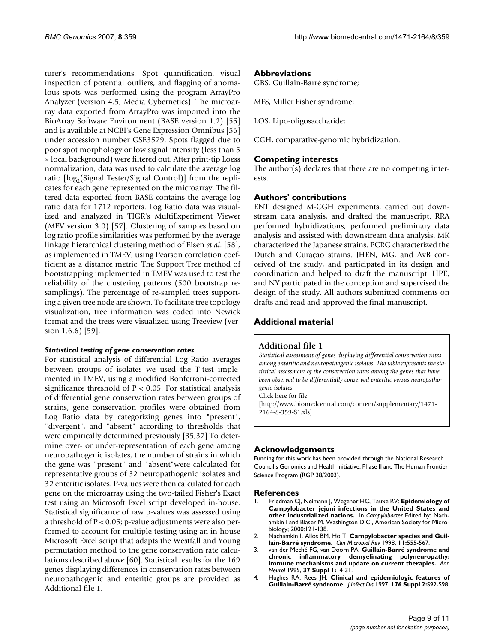turer's recommendations. Spot quantification, visual inspection of potential outliers, and flagging of anomalous spots was performed using the program ArrayPro Analyzer (version 4.5; Media Cybernetics). The microarray data exported from ArrayPro was imported into the BioArray Software Environment (BASE version 1.2) [55] and is available at NCBI's Gene Expression Omnibus [56] under accession number GSE3579. Spots flagged due to poor spot morphology or low signal intensity (less than 5 × local background) were filtered out. After print-tip Loess normalization, data was used to calculate the average log ratio [log<sub>2</sub>(Signal Tester/Signal Control)] from the replicates for each gene represented on the microarray. The filtered data exported from BASE contains the average log ratio data for 1712 reporters. Log Ratio data was visualized and analyzed in TIGR's MultiExperiment Viewer (MEV version 3.0) [57]. Clustering of samples based on log ratio profile similarities was performed by the average linkage hierarchical clustering method of Eisen *et al*. [58], as implemented in TMEV, using Pearson correlation coefficient as a distance metric. The Support Tree method of bootstrapping implemented in TMEV was used to test the reliability of the clustering patterns (500 bootstrap resamplings). The percentage of re-sampled trees supporting a given tree node are shown. To facilitate tree topology visualization, tree information was coded into Newick format and the trees were visualized using Treeview (version 1.6.6) [59].

#### *Statistical testing of gene conservation rates*

For statistical analysis of differential Log Ratio averages between groups of isolates we used the T-test implemented in TMEV, using a modified Bonferroni-corrected significance threshold of  $P < 0.05$ . For statistical analysis of differential gene conservation rates between groups of strains, gene conservation profiles were obtained from Log Ratio data by categorizing genes into "present", "divergent", and "absent" according to thresholds that were empirically determined previously [35,37] To determine over- or under-representation of each gene among neuropathogenic isolates, the number of strains in which the gene was "present" and "absent"were calculated for representative groups of 32 neuropathogenic isolates and 32 enteritic isolates. P-values were then calculated for each gene on the microarray using the two-tailed Fisher's Exact test using an Microsoft Excel script developed in-house. Statistical significance of raw p-values was assessed using a threshold of P < 0.05; p-value adjustments were also performed to account for multiple testing using an in-house Microsoft Excel script that adapts the Westfall and Young permutation method to the gene conservation rate calculations described above [60]. Statistical results for the 169 genes displaying differences in conservation rates between neuropathogenic and enteritic groups are provided as Additional file 1.

## **Abbreviations**

GBS, Guillain-Barré syndrome;

MFS, Miller Fisher syndrome;

LOS, Lipo-oligosaccharide;

CGH, comparative-genomic hybridization.

## **Competing interests**

The author(s) declares that there are no competing interests.

#### **Authors' contributions**

ENT designed M-CGH experiments, carried out downstream data analysis, and drafted the manuscript. RRA performed hybridizations, performed preliminary data analysis and assisted with downstream data analysis. MK characterized the Japanese strains. PCRG characterized the Dutch and Curaçao strains. JHEN, MG, and AvB conceived of the study, and participated in its design and coordination and helped to draft the manuscript. HPE, and NY participated in the conception and supervised the design of the study. All authors submitted comments on drafts and read and approved the final manuscript.

# **Additional material**

#### **Additional file 1**

*Statistical assessment of genes displaying differential conservation rates among enteritic and neuropathogenic isolates. The table represents the statistical assessment of the conservation rates among the genes that have been observed to be differentially conserved enteritic versus neuropathogenic isolates.*

Click here for file

[\[http://www.biomedcentral.com/content/supplementary/1471-](http://www.biomedcentral.com/content/supplementary/1471-2164-8-359-S1.xls) 2164-8-359-S1.xls]

#### **Acknowledgements**

Funding for this work has been provided through the National Research Council's Genomics and Health Initiative, Phase II and The Human Frontier Science Program (RGP 38/2003).

#### **References**

- 1. Friedman CJ, Neimann J, Wegener HC, Tauxe RV: **Epidemiology of Campylobacter jejuni infections in the United States and other industrialized nations.** In *Campylobacter* Edited by: Nachamkin I and Blaser M. Washington D.C., American Society for Microbiology; 2000:121-138.
- 2. Nachamkin I, Allos BM, Ho T: **[Campylobacter species and Guil](http://www.ncbi.nlm.nih.gov/entrez/query.fcgi?cmd=Retrieve&db=PubMed&dopt=Abstract&list_uids=9665983)[lain-Barré syndrome.](http://www.ncbi.nlm.nih.gov/entrez/query.fcgi?cmd=Retrieve&db=PubMed&dopt=Abstract&list_uids=9665983)** *Clin Microbiol Rev* 1998, **11:**555-567.
- 3. van der Meché FG, van Doorn PA: **Guillain-Barré syndrome and chronic inflammatory demyelinating polyneuropathy: immune mechanisms and update on current therapies.** *Ann Neurol* 1995, **37 Suppl 1:**14-31.
- 4. Hughes RA, Rees JH: **[Clinical and epidemiologic features of](http://www.ncbi.nlm.nih.gov/entrez/query.fcgi?cmd=Retrieve&db=PubMed&dopt=Abstract&list_uids=9396689) [Guillain-Barré syndrome.](http://www.ncbi.nlm.nih.gov/entrez/query.fcgi?cmd=Retrieve&db=PubMed&dopt=Abstract&list_uids=9396689)** *J Infect Dis* 1997, **176 Suppl 2:**S92-S98.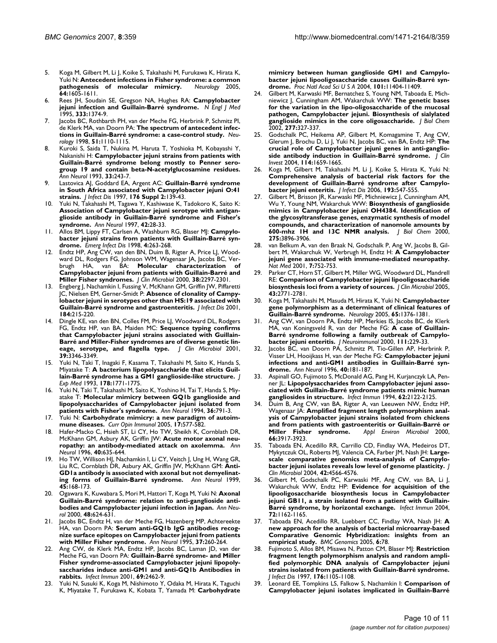- 5. Koga M, Gilbert M, Li J, Koike S, Takahashi M, Furukawa K, Hirata K, Yuki N: **[Antecedent infections in Fisher syndrome: a common](http://www.ncbi.nlm.nih.gov/entrez/query.fcgi?cmd=Retrieve&db=PubMed&dopt=Abstract&list_uids=15883324) [pathogenesis of molecular mimicry.](http://www.ncbi.nlm.nih.gov/entrez/query.fcgi?cmd=Retrieve&db=PubMed&dopt=Abstract&list_uids=15883324)** *Neurology* 2005, **64:**1605-1611.
- 6. Rees JH, Soudain SE, Gregson NA, Hughes RA: **[Campylobacter](http://www.ncbi.nlm.nih.gov/entrez/query.fcgi?cmd=Retrieve&db=PubMed&dopt=Abstract&list_uids=7477117) [jejuni infection and Guillain-Barré syndrome.](http://www.ncbi.nlm.nih.gov/entrez/query.fcgi?cmd=Retrieve&db=PubMed&dopt=Abstract&list_uids=7477117)** *N Engl J Med* 1995, **333:**1374-9.
- 7. Jacobs BC, Rothbarth PH, van der Meche FG, Herbrink P, Schmitz PI, de Klerk MA, van Doorn PA: **[The spectrum of antecedent infec](http://www.ncbi.nlm.nih.gov/entrez/query.fcgi?cmd=Retrieve&db=PubMed&dopt=Abstract&list_uids=9781538)[tions in Guillain-Barré syndrome: a case-control study.](http://www.ncbi.nlm.nih.gov/entrez/query.fcgi?cmd=Retrieve&db=PubMed&dopt=Abstract&list_uids=9781538)** *Neurology* 1998, **51:**1110-1115.
- Kuroki S, Saida T, Nukina M, Haruta T, Yoshioka M, Kobayashi Y, Nakanishi H: **[Campylobacter jejuni strains from patients with](http://www.ncbi.nlm.nih.gov/entrez/query.fcgi?cmd=Retrieve&db=PubMed&dopt=Abstract&list_uids=8498807) Guillain-Barré syndrome belong mostly to Penner sero[group 19 and contain beta-N-acetylglucosamine residues.](http://www.ncbi.nlm.nih.gov/entrez/query.fcgi?cmd=Retrieve&db=PubMed&dopt=Abstract&list_uids=8498807)** *Ann Neurol* 1993, **33:**243-7.
- 9. Lastovica AJ, Goddard EA, Argent AC: **Guillain-Barré syndrome in South Africa associated with Campylobacter jejuni O:41 strains.** *J Infect Dis* 1997, **176 Suppl 2:**139-43.
- 10. Yuki N, Takahashi M, Tagawa Y, Kashiwase K, Tadokoro K, Saito K: **Association of Campylobacter jejuni serotype with antigan[glioside antibody in Guillain-Barré syndrome and Fisher's](http://www.ncbi.nlm.nih.gov/entrez/query.fcgi?cmd=Retrieve&db=PubMed&dopt=Abstract&list_uids=9225682) [syndrome.](http://www.ncbi.nlm.nih.gov/entrez/query.fcgi?cmd=Retrieve&db=PubMed&dopt=Abstract&list_uids=9225682)** *Ann Neurol* 1997, **42:**28-33.
- 11. Allos BM, Lippy FT, Carlsen A, Washburn RG, Blaser MJ: **[Campylo](http://www.ncbi.nlm.nih.gov/entrez/query.fcgi?cmd=Retrieve&db=PubMed&dopt=Abstract&list_uids=9621196)[bacter jejuni strains from patients with Guillain-Barré syn](http://www.ncbi.nlm.nih.gov/entrez/query.fcgi?cmd=Retrieve&db=PubMed&dopt=Abstract&list_uids=9621196)[drome.](http://www.ncbi.nlm.nih.gov/entrez/query.fcgi?cmd=Retrieve&db=PubMed&dopt=Abstract&list_uids=9621196)** *Emerg Infect Dis* 1998, **4:**263-268.
- 12. Endtz HP, Ang CW, van den BN, Duim B, Rigter A, Price LJ, Woodward DL, Rodgers FG, Johnson WM, Wagenaar JA, Jacobs BC, Ver-<br>brugh HA. van BA: **Molecular characterization of** brugh HA, van BA: **[Molecular characterization of](http://www.ncbi.nlm.nih.gov/entrez/query.fcgi?cmd=Retrieve&db=PubMed&dopt=Abstract&list_uids=10834992) [Campylobacter jejuni from patients with Guillain-Barré and](http://www.ncbi.nlm.nih.gov/entrez/query.fcgi?cmd=Retrieve&db=PubMed&dopt=Abstract&list_uids=10834992) [Miller Fisher syndromes.](http://www.ncbi.nlm.nih.gov/entrez/query.fcgi?cmd=Retrieve&db=PubMed&dopt=Abstract&list_uids=10834992)** *J Clin Microbiol* 2000, **38:**2297-2301.
- 13. Engberg J, Nachamkin I, Fussing V, McKhann GM, Griffin JW, Piffaretti JC, Nielsen EM, Gerner-Smidt P: **[Absence of clonality of Campy](http://www.ncbi.nlm.nih.gov/entrez/query.fcgi?cmd=Retrieve&db=PubMed&dopt=Abstract&list_uids=11400076)[lobacter jejuni in serotypes other than HS:19 associated with](http://www.ncbi.nlm.nih.gov/entrez/query.fcgi?cmd=Retrieve&db=PubMed&dopt=Abstract&list_uids=11400076) [Guillain-Barré syndrome and gastroenteritis.](http://www.ncbi.nlm.nih.gov/entrez/query.fcgi?cmd=Retrieve&db=PubMed&dopt=Abstract&list_uids=11400076)** *J Infect Dis* 2001, **184:**215-220.
- Dingle KE, van den BN, Colles FM, Price LJ, Woodward DL, Rodgers FG, Endtz HP, van BA, Maiden MC: **[Sequence typing confirms](http://www.ncbi.nlm.nih.gov/entrez/query.fcgi?cmd=Retrieve&db=PubMed&dopt=Abstract&list_uids=11526174) [that Campylobacter jejuni strains associated with Guillain-](http://www.ncbi.nlm.nih.gov/entrez/query.fcgi?cmd=Retrieve&db=PubMed&dopt=Abstract&list_uids=11526174)Barré and Miller-Fisher syndromes are of diverse genetic lin[eage, serotype, and flagella type.](http://www.ncbi.nlm.nih.gov/entrez/query.fcgi?cmd=Retrieve&db=PubMed&dopt=Abstract&list_uids=11526174)** *J Clin Microbiol* 2001, **39:**3346-3349.
- 15. Yuki N, Taki T, Inagaki F, Kasama T, Takahashi M, Saito K, Handa S, Miyatake T: **[A bacterium lipopolysaccharide that elicits Guil](http://www.ncbi.nlm.nih.gov/entrez/query.fcgi?cmd=Retrieve&db=PubMed&dopt=Abstract&list_uids=8228822)[lain-Barré syndrome has a GM1 ganglioside-like structure.](http://www.ncbi.nlm.nih.gov/entrez/query.fcgi?cmd=Retrieve&db=PubMed&dopt=Abstract&list_uids=8228822)** *J Exp Med* 1993, **178:**1771-1775.
- 16. Yuki N, Taki T, Takahashi M, Saito K, Yoshino H, Tai T, Handa S, Miyatake T: **[Molecular mimicry between GQ1b ganglioside and](http://www.ncbi.nlm.nih.gov/entrez/query.fcgi?cmd=Retrieve&db=PubMed&dopt=Abstract&list_uids=7526777) [lipopolysaccharides of Campylobacter jejuni isolated from](http://www.ncbi.nlm.nih.gov/entrez/query.fcgi?cmd=Retrieve&db=PubMed&dopt=Abstract&list_uids=7526777) [patients with Fisher's syndrome.](http://www.ncbi.nlm.nih.gov/entrez/query.fcgi?cmd=Retrieve&db=PubMed&dopt=Abstract&list_uids=7526777)** *Ann Neurol* 1994, **36:**791-3.
- 17. Yuki N: **[Carbohydrate mimicry: a new paradigm of autoim](http://www.ncbi.nlm.nih.gov/entrez/query.fcgi?cmd=Retrieve&db=PubMed&dopt=Abstract&list_uids=16229995)[mune diseases.](http://www.ncbi.nlm.nih.gov/entrez/query.fcgi?cmd=Retrieve&db=PubMed&dopt=Abstract&list_uids=16229995)** *Curr Opin Immunol* 2005, **17:**577-582.
- 18. Hafer-Macko C, Hsieh ST, Li CY, Ho TW, Sheikh K, Cornblath DR, McKhann GM, Asbury AK, Griffin JW: **[Acute motor axonal neu](http://www.ncbi.nlm.nih.gov/entrez/query.fcgi?cmd=Retrieve&db=PubMed&dopt=Abstract&list_uids=8871584)[ropathy: an antibody-mediated attack on axolemma.](http://www.ncbi.nlm.nih.gov/entrez/query.fcgi?cmd=Retrieve&db=PubMed&dopt=Abstract&list_uids=8871584)** *Ann Neurol* 1996, **40:**635-644.
- 19. Ho TW, Willison HJ, Nachamkin I, Li CY, Veitch J, Ung H, Wang GR, Liu RC, Cornblath DR, Asbury AK, Griffin JW, McKhann GM: **[Anti-](http://www.ncbi.nlm.nih.gov/entrez/query.fcgi?cmd=Retrieve&db=PubMed&dopt=Abstract&list_uids=9989618)[GD1a antibody is associated with axonal but not demyelinat](http://www.ncbi.nlm.nih.gov/entrez/query.fcgi?cmd=Retrieve&db=PubMed&dopt=Abstract&list_uids=9989618)[ing forms of Guillain-Barré syndrome.](http://www.ncbi.nlm.nih.gov/entrez/query.fcgi?cmd=Retrieve&db=PubMed&dopt=Abstract&list_uids=9989618)** *Ann Neurol* 1999, **45:**168-173.
- 20. Ogawara K, Kuwabara S, Mori M, Hattori T, Koga M, Yuki N: **[Axonal](http://www.ncbi.nlm.nih.gov/entrez/query.fcgi?cmd=Retrieve&db=PubMed&dopt=Abstract&list_uids=11026446) [Guillain-Barré syndrome: relation to anti-ganglioside anti](http://www.ncbi.nlm.nih.gov/entrez/query.fcgi?cmd=Retrieve&db=PubMed&dopt=Abstract&list_uids=11026446)[bodies and Campylobacter jejuni infection in Japan.](http://www.ncbi.nlm.nih.gov/entrez/query.fcgi?cmd=Retrieve&db=PubMed&dopt=Abstract&list_uids=11026446)** *Ann Neurol* 2000, **48:**624-631.
- Jacobs BC, Endtz H, van der Meche FG, Hazenberg MP, Achtereekte HA, van Doorn PA: **[Serum anti-GQ1b IgG antibodies recog](http://www.ncbi.nlm.nih.gov/entrez/query.fcgi?cmd=Retrieve&db=PubMed&dopt=Abstract&list_uids=7531419)[nize surface epitopes on Campylobacter jejuni from patients](http://www.ncbi.nlm.nih.gov/entrez/query.fcgi?cmd=Retrieve&db=PubMed&dopt=Abstract&list_uids=7531419) [with Miller Fisher syndrome.](http://www.ncbi.nlm.nih.gov/entrez/query.fcgi?cmd=Retrieve&db=PubMed&dopt=Abstract&list_uids=7531419)** *Ann Neurol* 1995, **37:**260-264.
- 22. Ang CW, de Klerk MA, Endtz HP, Jacobs BC, Laman JD, van der Meche FG, van Doorn PA: **[Guillain-Barré syndrome- and Miller](http://www.ncbi.nlm.nih.gov/entrez/query.fcgi?cmd=Retrieve&db=PubMed&dopt=Abstract&list_uids=11254608) Fisher syndrome-associated Campylobacter jejuni lipopoly[saccharides induce anti-GM1 and anti-GQ1b Antibodies in](http://www.ncbi.nlm.nih.gov/entrez/query.fcgi?cmd=Retrieve&db=PubMed&dopt=Abstract&list_uids=11254608) [rabbits.](http://www.ncbi.nlm.nih.gov/entrez/query.fcgi?cmd=Retrieve&db=PubMed&dopt=Abstract&list_uids=11254608)** *Infect Immun* 2001, **69:**2462-9.
- 23. Yuki N, Susuki K, Koga M, Nishimoto Y, Odaka M, Hirata K, Taguchi K, Miyatake T, Furukawa K, Kobata T, Yamada M: **[Carbohydrate](http://www.ncbi.nlm.nih.gov/entrez/query.fcgi?cmd=Retrieve&db=PubMed&dopt=Abstract&list_uids=15277677)**

**mimicry between human ganglioside GM1 and Campylo[bacter jejuni lipooligosaccharide causes Guillain-Barré syn](http://www.ncbi.nlm.nih.gov/entrez/query.fcgi?cmd=Retrieve&db=PubMed&dopt=Abstract&list_uids=15277677)[drome.](http://www.ncbi.nlm.nih.gov/entrez/query.fcgi?cmd=Retrieve&db=PubMed&dopt=Abstract&list_uids=15277677)** *Proc Natl Acad Sci U S A* 2004, **101:**11404-11409.

- 24. Gilbert M, Karwaski MF, Bernatchez S, Young NM, Taboada E, Michniewicz J, Cunningham AM, Wakarchuk WW: **[The genetic bases](http://www.ncbi.nlm.nih.gov/entrez/query.fcgi?cmd=Retrieve&db=PubMed&dopt=Abstract&list_uids=11689567) for the variation in the lipo-oligosaccharide of the mucosal [pathogen, Campylobacter jejuni. Biosynthesis of sialylated](http://www.ncbi.nlm.nih.gov/entrez/query.fcgi?cmd=Retrieve&db=PubMed&dopt=Abstract&list_uids=11689567) [ganglioside mimics in the core oligosaccharide.](http://www.ncbi.nlm.nih.gov/entrez/query.fcgi?cmd=Retrieve&db=PubMed&dopt=Abstract&list_uids=11689567)** *J Biol Chem* 2002, **277:**327-337.
- 25. Godschalk PC, Heikema AP, Gilbert M, Komagamine T, Ang CW, Glerum J, Brochu D, Li J, Yuki N, Jacobs BC, van BA, Endtz HP: **[The](http://www.ncbi.nlm.nih.gov/entrez/query.fcgi?cmd=Retrieve&db=PubMed&dopt=Abstract&list_uids=15578098) [crucial role of Campylobacter jejuni genes in anti-ganglio](http://www.ncbi.nlm.nih.gov/entrez/query.fcgi?cmd=Retrieve&db=PubMed&dopt=Abstract&list_uids=15578098)[side antibody induction in Guillain-Barré syndrome.](http://www.ncbi.nlm.nih.gov/entrez/query.fcgi?cmd=Retrieve&db=PubMed&dopt=Abstract&list_uids=15578098)** *J Clin Invest* 2004, **114:**1659-1665.
- 26. Koga M, Gilbert M, Takahashi M, Li J, Koike S, Hirata K, Yuki N: **Comprehensive analysis of bacterial risk factors for the [development of Guillain-Barré syndrome after Campylo](http://www.ncbi.nlm.nih.gov/entrez/query.fcgi?cmd=Retrieve&db=PubMed&dopt=Abstract&list_uids=16425134)[bacter jejuni enteritis.](http://www.ncbi.nlm.nih.gov/entrez/query.fcgi?cmd=Retrieve&db=PubMed&dopt=Abstract&list_uids=16425134)** *J Infect Dis* 2006, **193:**547-555.
- Gilbert M, Brisson JR, Karwaski MF, Michniewicz J, Cunningham AM, Wu Y, Young NM, Wakarchuk WW: **[Biosynthesis of ganglioside](http://www.ncbi.nlm.nih.gov/entrez/query.fcgi?cmd=Retrieve&db=PubMed&dopt=Abstract&list_uids=10660542) mimics in Campylobacter jejuni OH4384. Identification of [the glycosyltransferase genes, enzymatic synthesis of model](http://www.ncbi.nlm.nih.gov/entrez/query.fcgi?cmd=Retrieve&db=PubMed&dopt=Abstract&list_uids=10660542) compounds, and characterization of nanomole amounts by [600-mhz 1H and 13C NMR analysis.](http://www.ncbi.nlm.nih.gov/entrez/query.fcgi?cmd=Retrieve&db=PubMed&dopt=Abstract&list_uids=10660542)** *J Biol Chem* 2000, **275:**3896-3906.
- van Belkum A, van den Braak N, Godschalk P, Ang W, Jacobs B, Gilbert M, Wakarchuk W, Verbrugh H, Endtz H: **[A Campylobacter](http://www.ncbi.nlm.nih.gov/entrez/query.fcgi?cmd=Retrieve&db=PubMed&dopt=Abstract&list_uids=11433317) [jejuni gene associated with immune-mediated neuropathy.](http://www.ncbi.nlm.nih.gov/entrez/query.fcgi?cmd=Retrieve&db=PubMed&dopt=Abstract&list_uids=11433317)** *Nat Med* 2001, **7:**752-753.
- 29. Parker CT, Horn ST, Gilbert M, Miller WG, Woodward DL, Mandrell RE: **[Comparison of Campylobacter jejuni lipooligosaccharide](http://www.ncbi.nlm.nih.gov/entrez/query.fcgi?cmd=Retrieve&db=PubMed&dopt=Abstract&list_uids=15956396) [biosynthesis loci from a variety of sources.](http://www.ncbi.nlm.nih.gov/entrez/query.fcgi?cmd=Retrieve&db=PubMed&dopt=Abstract&list_uids=15956396)** *J Clin Microbiol* 2005, **43:**2771-2781.
- 30. Koga M, Takahashi M, Masuda M, Hirata K, Yuki N: **[Campylobacter](http://www.ncbi.nlm.nih.gov/entrez/query.fcgi?cmd=Retrieve&db=PubMed&dopt=Abstract&list_uids=16162859) [gene polymorphism as a determinant of clinical features of](http://www.ncbi.nlm.nih.gov/entrez/query.fcgi?cmd=Retrieve&db=PubMed&dopt=Abstract&list_uids=16162859) [Guillain-Barré syndrome.](http://www.ncbi.nlm.nih.gov/entrez/query.fcgi?cmd=Retrieve&db=PubMed&dopt=Abstract&list_uids=16162859)** *Neurology* 2005, **65:**1376-1381.
- 31. Ang CW, van Doorn PA, Endtz HP, Merkies IS, Jacobs BC, de Klerk MA, van Koningsveld R, van der Meche FG: **[A case of Guillain-](http://www.ncbi.nlm.nih.gov/entrez/query.fcgi?cmd=Retrieve&db=PubMed&dopt=Abstract&list_uids=11063843)[Barré syndrome following a family outbreak of Campylo](http://www.ncbi.nlm.nih.gov/entrez/query.fcgi?cmd=Retrieve&db=PubMed&dopt=Abstract&list_uids=11063843)[bacter jejuni enteritis.](http://www.ncbi.nlm.nih.gov/entrez/query.fcgi?cmd=Retrieve&db=PubMed&dopt=Abstract&list_uids=11063843)** *J Neuroimmunol* 2000, **111:**229-33.
- Jacobs BC, van Doorn PA, Schmitz PI, Tio-Gillen AP, Herbrink P, Visser LH, Hooijkass H, van der Meche FG: **[Campylobacter jejuni](http://www.ncbi.nlm.nih.gov/entrez/query.fcgi?cmd=Retrieve&db=PubMed&dopt=Abstract&list_uids=8773599) [infections and anti-GM1 antibodies in Guillain-Barré syn](http://www.ncbi.nlm.nih.gov/entrez/query.fcgi?cmd=Retrieve&db=PubMed&dopt=Abstract&list_uids=8773599)[drome.](http://www.ncbi.nlm.nih.gov/entrez/query.fcgi?cmd=Retrieve&db=PubMed&dopt=Abstract&list_uids=8773599)** *Ann Neurol* 1996, **40:**181-187.
- Aspinall GO, Fujimoto S, McDonald AG, Pang H, Kurjanczyk LA, Penner JL: **[Lipopolysaccharides from Campylobacter jejuni asso](http://www.ncbi.nlm.nih.gov/entrez/query.fcgi?cmd=Retrieve&db=PubMed&dopt=Abstract&list_uids=8168981)[ciated with Guillain-Barré syndrome patients mimic human](http://www.ncbi.nlm.nih.gov/entrez/query.fcgi?cmd=Retrieve&db=PubMed&dopt=Abstract&list_uids=8168981) [gangliosides in structure.](http://www.ncbi.nlm.nih.gov/entrez/query.fcgi?cmd=Retrieve&db=PubMed&dopt=Abstract&list_uids=8168981)** *Infect Immun* 1994, **62:**2122-2125.
- 34. Duim B, Ang CW, van BA, Rigter A, van Leeuwen NW, Endtz HP, Wagenaar JA: **[Amplified fragment length polymorphism anal](http://www.ncbi.nlm.nih.gov/entrez/query.fcgi?cmd=Retrieve&db=PubMed&dopt=Abstract&list_uids=10966409)[ysis of Campylobacter jejuni strains isolated from chickens](http://www.ncbi.nlm.nih.gov/entrez/query.fcgi?cmd=Retrieve&db=PubMed&dopt=Abstract&list_uids=10966409) and from patients with gastroenteritis or Guillain-Barré or [Miller Fisher syndrome.](http://www.ncbi.nlm.nih.gov/entrez/query.fcgi?cmd=Retrieve&db=PubMed&dopt=Abstract&list_uids=10966409)** *Appl Environ Microbiol* 2000, **66:**3917-3923.
- 35. Taboada EN, Acedillo RR, Carrillo CD, Findlay WA, Medeiros DT, Mykytczuk OL, Roberts MJ, Valencia CA, Farber JM, Nash JH: **[Large](http://www.ncbi.nlm.nih.gov/entrez/query.fcgi?cmd=Retrieve&db=PubMed&dopt=Abstract&list_uids=15472310)[scale comparative genomics meta-analysis of Campylo](http://www.ncbi.nlm.nih.gov/entrez/query.fcgi?cmd=Retrieve&db=PubMed&dopt=Abstract&list_uids=15472310)[bacter jejuni isolates reveals low level of genome plasticity.](http://www.ncbi.nlm.nih.gov/entrez/query.fcgi?cmd=Retrieve&db=PubMed&dopt=Abstract&list_uids=15472310)** *J Clin Microbiol* 2004, **42:**4566-4576.
- 36. Gilbert M, Godschalk PC, Karwaski MF, Ang CW, van BA, Li J, Wakarchuk WW, Endtz HP: **[Evidence for acquisition of the](http://www.ncbi.nlm.nih.gov/entrez/query.fcgi?cmd=Retrieve&db=PubMed&dopt=Abstract&list_uids=14742567) lipooligosaccharide biosynthesis locus in Campylobacter [jejuni GB11, a strain isolated from a patient with Guillain-](http://www.ncbi.nlm.nih.gov/entrez/query.fcgi?cmd=Retrieve&db=PubMed&dopt=Abstract&list_uids=14742567)[Barré syndrome, by horizontal exchange.](http://www.ncbi.nlm.nih.gov/entrez/query.fcgi?cmd=Retrieve&db=PubMed&dopt=Abstract&list_uids=14742567)** *Infect Immun* 2004, **72:**1162-1165.
- 37. Taboada EN, Acedillo RR, Luebbert CC, Findlay WA, Nash JH: **[A](http://www.ncbi.nlm.nih.gov/entrez/query.fcgi?cmd=Retrieve&db=PubMed&dopt=Abstract&list_uids=15918914) [new approach for the analysis of bacterial microarray-based](http://www.ncbi.nlm.nih.gov/entrez/query.fcgi?cmd=Retrieve&db=PubMed&dopt=Abstract&list_uids=15918914) Comparative Genomic Hybridization: insights from an [empirical study.](http://www.ncbi.nlm.nih.gov/entrez/query.fcgi?cmd=Retrieve&db=PubMed&dopt=Abstract&list_uids=15918914)** *BMC Genomics* 2005, **6:**78.
- 38. Fujimoto S, Allos BM, Misawa N, Patton CM, Blaser MJ: **[Restriction](http://www.ncbi.nlm.nih.gov/entrez/query.fcgi?cmd=Retrieve&db=PubMed&dopt=Abstract&list_uids=9333178) [fragment length polymorphism analysis and random ampli](http://www.ncbi.nlm.nih.gov/entrez/query.fcgi?cmd=Retrieve&db=PubMed&dopt=Abstract&list_uids=9333178)fied polymorphic DNA analysis of Campylobacter jejuni strains isolated from patients with Guillain-Barré syndrome.** *J Infect Dis* 1997, **176:**1105-1108.
- 39. Leonard EE, Tompkins LS, Falkow S, Nachamkin I: **[Comparison of](http://www.ncbi.nlm.nih.gov/entrez/query.fcgi?cmd=Retrieve&db=PubMed&dopt=Abstract&list_uids=14742576) [Campylobacter jejuni isolates implicated in Guillain-Barré](http://www.ncbi.nlm.nih.gov/entrez/query.fcgi?cmd=Retrieve&db=PubMed&dopt=Abstract&list_uids=14742576)**